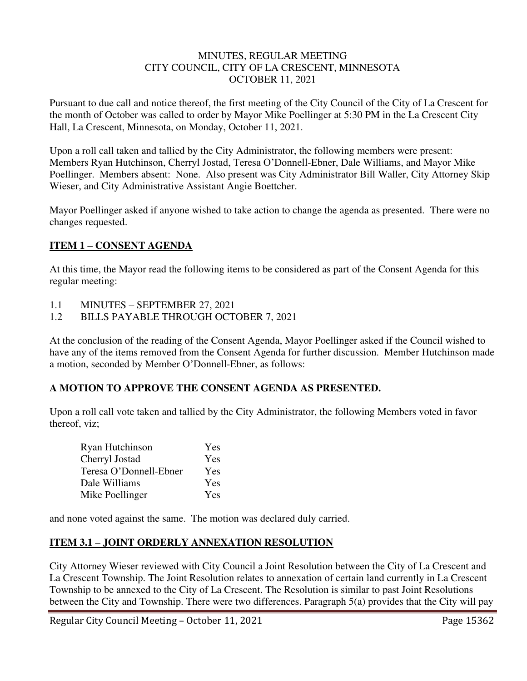#### MINUTES, REGULAR MEETING CITY COUNCIL, CITY OF LA CRESCENT, MINNESOTA OCTOBER 11, 2021

Pursuant to due call and notice thereof, the first meeting of the City Council of the City of La Crescent for the month of October was called to order by Mayor Mike Poellinger at 5:30 PM in the La Crescent City Hall, La Crescent, Minnesota, on Monday, October 11, 2021.

Upon a roll call taken and tallied by the City Administrator, the following members were present: Members Ryan Hutchinson, Cherryl Jostad, Teresa O'Donnell-Ebner, Dale Williams, and Mayor Mike Poellinger. Members absent: None. Also present was City Administrator Bill Waller, City Attorney Skip Wieser, and City Administrative Assistant Angie Boettcher.

Mayor Poellinger asked if anyone wished to take action to change the agenda as presented. There were no changes requested.

# **ITEM 1 – CONSENT AGENDA**

At this time, the Mayor read the following items to be considered as part of the Consent Agenda for this regular meeting:

- 1.1 MINUTES SEPTEMBER 27, 2021
- 1.2 BILLS PAYABLE THROUGH OCTOBER 7, 2021

At the conclusion of the reading of the Consent Agenda, Mayor Poellinger asked if the Council wished to have any of the items removed from the Consent Agenda for further discussion. Member Hutchinson made a motion, seconded by Member O'Donnell-Ebner, as follows:

# **A MOTION TO APPROVE THE CONSENT AGENDA AS PRESENTED.**

Upon a roll call vote taken and tallied by the City Administrator, the following Members voted in favor thereof, viz;

| Ryan Hutchinson        | Yes |
|------------------------|-----|
| Cherryl Jostad         | Yes |
| Teresa O'Donnell-Ebner | Yes |
| Dale Williams          | Yes |
| Mike Poellinger        | Yes |

and none voted against the same. The motion was declared duly carried.

# **ITEM 3.1 – JOINT ORDERLY ANNEXATION RESOLUTION**

City Attorney Wieser reviewed with City Council a Joint Resolution between the City of La Crescent and La Crescent Township. The Joint Resolution relates to annexation of certain land currently in La Crescent Township to be annexed to the City of La Crescent. The Resolution is similar to past Joint Resolutions between the City and Township. There were two differences. Paragraph 5(a) provides that the City will pay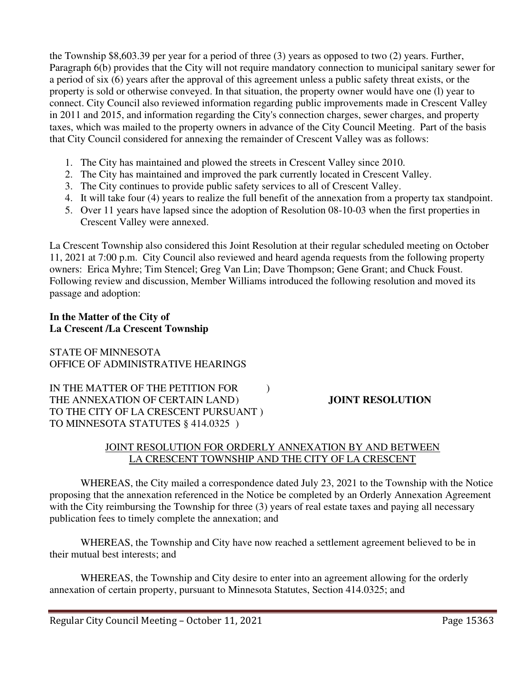the Township \$8,603.39 per year for a period of three (3) years as opposed to two (2) years. Further, Paragraph 6(b) provides that the City will not require mandatory connection to municipal sanitary sewer for a period of six (6) years after the approval of this agreement unless a public safety threat exists, or the property is sold or otherwise conveyed. In that situation, the property owner would have one (l) year to connect. City Council also reviewed information regarding public improvements made in Crescent Valley in 2011 and 2015, and information regarding the City's connection charges, sewer charges, and property taxes, which was mailed to the property owners in advance of the City Council Meeting. Part of the basis that City Council considered for annexing the remainder of Crescent Valley was as follows:

- 1. The City has maintained and plowed the streets in Crescent Valley since 2010.
- 2. The City has maintained and improved the park currently located in Crescent Valley.
- 3. The City continues to provide public safety services to all of Crescent Valley.
- 4. It will take four (4) years to realize the full benefit of the annexation from a property tax standpoint.
- 5. Over 11 years have lapsed since the adoption of Resolution 08-10-03 when the first properties in Crescent Valley were annexed.

La Crescent Township also considered this Joint Resolution at their regular scheduled meeting on October 11, 2021 at 7:00 p.m. City Council also reviewed and heard agenda requests from the following property owners: Erica Myhre; Tim Stencel; Greg Van Lin; Dave Thompson; Gene Grant; and Chuck Foust. Following review and discussion, Member Williams introduced the following resolution and moved its passage and adoption:

#### **In the Matter of the City of La Crescent /La Crescent Township**

STATE OF MINNESOTA OFFICE OF ADMINISTRATIVE HEARINGS

IN THE MATTER OF THE PETITION FOR  $\qquad$  ) THE ANNEXATION OF CERTAIN LAND **JOINT RESOLUTION** TO THE CITY OF LA CRESCENT PURSUANT ) TO MINNESOTA STATUTES § 414.0325 )

# JOINT RESOLUTION FOR ORDERLY ANNEXATION BY AND BETWEEN LA CRESCENT TOWNSHIP AND THE CITY OF LA CRESCENT

WHEREAS, the City mailed a correspondence dated July 23, 2021 to the Township with the Notice proposing that the annexation referenced in the Notice be completed by an Orderly Annexation Agreement with the City reimbursing the Township for three (3) years of real estate taxes and paying all necessary publication fees to timely complete the annexation; and

WHEREAS, the Township and City have now reached a settlement agreement believed to be in their mutual best interests; and

WHEREAS, the Township and City desire to enter into an agreement allowing for the orderly annexation of certain property, pursuant to Minnesota Statutes, Section 414.0325; and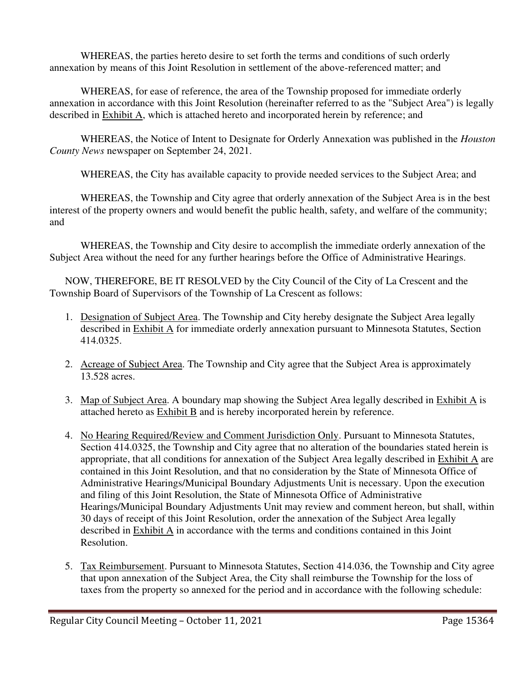WHEREAS, the parties hereto desire to set forth the terms and conditions of such orderly annexation by means of this Joint Resolution in settlement of the above-referenced matter; and

WHEREAS, for ease of reference, the area of the Township proposed for immediate orderly annexation in accordance with this Joint Resolution (hereinafter referred to as the "Subject Area") is legally described in Exhibit A, which is attached hereto and incorporated herein by reference; and

WHEREAS, the Notice of Intent to Designate for Orderly Annexation was published in the *Houston County News* newspaper on September 24, 2021.

WHEREAS, the City has available capacity to provide needed services to the Subject Area; and

WHEREAS, the Township and City agree that orderly annexation of the Subject Area is in the best interest of the property owners and would benefit the public health, safety, and welfare of the community; and

WHEREAS, the Township and City desire to accomplish the immediate orderly annexation of the Subject Area without the need for any further hearings before the Office of Administrative Hearings.

NOW, THEREFORE, BE IT RESOLVED by the City Council of the City of La Crescent and the Township Board of Supervisors of the Township of La Crescent as follows:

- 1. Designation of Subject Area. The Township and City hereby designate the Subject Area legally described in Exhibit A for immediate orderly annexation pursuant to Minnesota Statutes, Section 414.0325.
- 2. Acreage of Subject Area. The Township and City agree that the Subject Area is approximately 13.528 acres.
- 3. Map of Subject Area. A boundary map showing the Subject Area legally described in Exhibit A is attached hereto as Exhibit B and is hereby incorporated herein by reference.
- 4. No Hearing Required/Review and Comment Jurisdiction Only. Pursuant to Minnesota Statutes, Section 414.0325, the Township and City agree that no alteration of the boundaries stated herein is appropriate, that all conditions for annexation of the Subject Area legally described in Exhibit A are contained in this Joint Resolution, and that no consideration by the State of Minnesota Office of Administrative Hearings/Municipal Boundary Adjustments Unit is necessary. Upon the execution and filing of this Joint Resolution, the State of Minnesota Office of Administrative Hearings/Municipal Boundary Adjustments Unit may review and comment hereon, but shall, within 30 days of receipt of this Joint Resolution, order the annexation of the Subject Area legally described in Exhibit A in accordance with the terms and conditions contained in this Joint Resolution.
- 5. Tax Reimbursement. Pursuant to Minnesota Statutes, Section 414.036, the Township and City agree that upon annexation of the Subject Area, the City shall reimburse the Township for the loss of taxes from the property so annexed for the period and in accordance with the following schedule: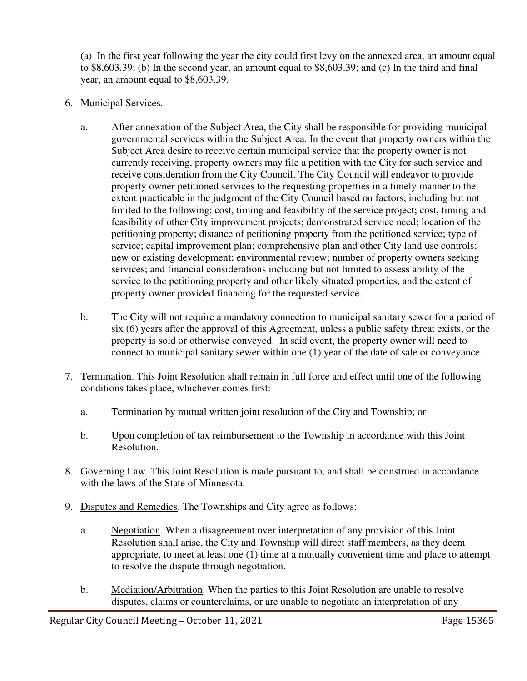(a) In the first year following the year the city could first levy on the annexed area, an amount equal to \$8,603.39; (b) In the second year, an amount equal to \$8,603.39; and (c) In the third and final year, an amount equal to \$8,603.39.

- 6. Municipal Services.
	- a. After annexation of the Subject Area, the City shall be responsible for providing municipal governmental services within the Subject Area. In the event that property owners within the Subject Area desire to receive certain municipal service that the property owner is not currently receiving, property owners may file a petition with the City for such service and receive consideration from the City Council. The City Council will endeavor to provide property owner petitioned services to the requesting properties in a timely manner to the extent practicable in the judgment of the City Council based on factors, including but not limited to the following: cost, timing and feasibility of the service project; cost, timing and feasibility of other City improvement projects; demonstrated service need; location of the petitioning property; distance of petitioning property from the petitioned service; type of service; capital improvement plan; comprehensive plan and other City land use controls; new or existing development; environmental review; number of property owners seeking services; and financial considerations including but not limited to assess ability of the service to the petitioning property and other likely situated properties, and the extent of property owner provided financing for the requested service.
	- b. The City will not require a mandatory connection to municipal sanitary sewer for a period of six (6) years after the approval of this Agreement, unless a public safety threat exists, or the property is sold or otherwise conveyed. In said event, the property owner will need to connect to municipal sanitary sewer within one (1) year of the date of sale or conveyance.
- 7. Termination. This Joint Resolution shall remain in full force and effect until one of the following conditions takes place, whichever comes first:
	- a. Termination by mutual written joint resolution of the City and Township; or
	- b. Upon completion of tax reimbursement to the Township in accordance with this Joint Resolution.
- 8. Governing Law. This Joint Resolution is made pursuant to, and shall be construed in accordance with the laws of the State of Minnesota.
- 9. Disputes and Remedies. The Townships and City agree as follows:
	- a. Negotiation. When a disagreement over interpretation of any provision of this Joint Resolution shall arise, the City and Township will direct staff members, as they deem appropriate, to meet at least one (1) time at a mutually convenient time and place to attempt to resolve the dispute through negotiation.
	- b. Mediation/Arbitration. When the parties to this Joint Resolution are unable to resolve disputes, claims or counterclaims, or are unable to negotiate an interpretation of any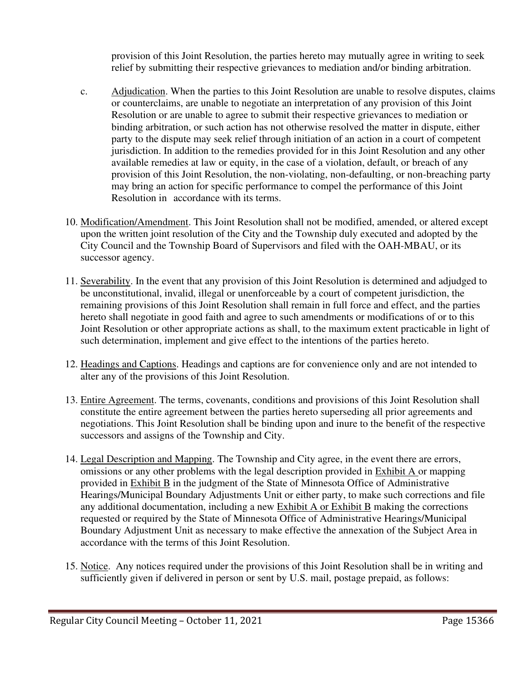provision of this Joint Resolution, the parties hereto may mutually agree in writing to seek relief by submitting their respective grievances to mediation and/or binding arbitration.

- c. Adjudication. When the parties to this Joint Resolution are unable to resolve disputes, claims or counterclaims, are unable to negotiate an interpretation of any provision of this Joint Resolution or are unable to agree to submit their respective grievances to mediation or binding arbitration, or such action has not otherwise resolved the matter in dispute, either party to the dispute may seek relief through initiation of an action in a court of competent jurisdiction. In addition to the remedies provided for in this Joint Resolution and any other available remedies at law or equity, in the case of a violation, default, or breach of any provision of this Joint Resolution, the non-violating, non-defaulting, or non-breaching party may bring an action for specific performance to compel the performance of this Joint Resolution in accordance with its terms.
- 10. Modification/Amendment. This Joint Resolution shall not be modified, amended, or altered except upon the written joint resolution of the City and the Township duly executed and adopted by the City Council and the Township Board of Supervisors and filed with the OAH-MBAU, or its successor agency.
- 11. Severability. In the event that any provision of this Joint Resolution is determined and adjudged to be unconstitutional, invalid, illegal or unenforceable by a court of competent jurisdiction, the remaining provisions of this Joint Resolution shall remain in full force and effect, and the parties hereto shall negotiate in good faith and agree to such amendments or modifications of or to this Joint Resolution or other appropriate actions as shall, to the maximum extent practicable in light of such determination, implement and give effect to the intentions of the parties hereto.
- 12. Headings and Captions. Headings and captions are for convenience only and are not intended to alter any of the provisions of this Joint Resolution.
- 13. Entire Agreement. The terms, covenants, conditions and provisions of this Joint Resolution shall constitute the entire agreement between the parties hereto superseding all prior agreements and negotiations. This Joint Resolution shall be binding upon and inure to the benefit of the respective successors and assigns of the Township and City.
- 14. Legal Description and Mapping. The Township and City agree, in the event there are errors, omissions or any other problems with the legal description provided in Exhibit A or mapping provided in Exhibit B in the judgment of the State of Minnesota Office of Administrative Hearings/Municipal Boundary Adjustments Unit or either party, to make such corrections and file any additional documentation, including a new Exhibit A or Exhibit B making the corrections requested or required by the State of Minnesota Office of Administrative Hearings/Municipal Boundary Adjustment Unit as necessary to make effective the annexation of the Subject Area in accordance with the terms of this Joint Resolution.
- 15. Notice. Any notices required under the provisions of this Joint Resolution shall be in writing and sufficiently given if delivered in person or sent by U.S. mail, postage prepaid, as follows: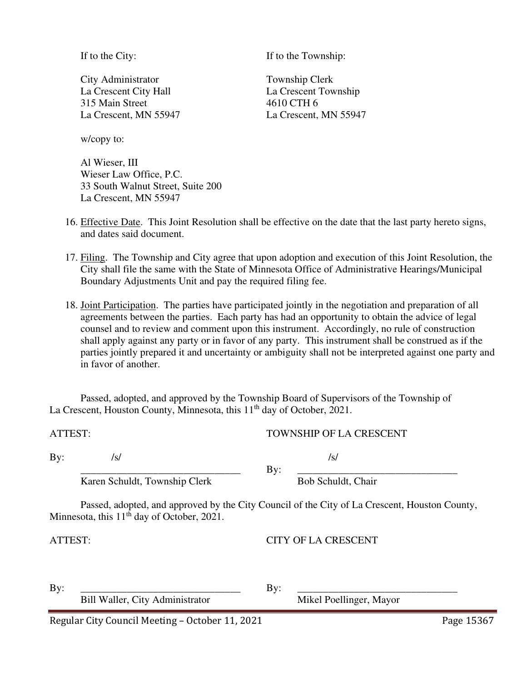City Administrator Township Clerk La Crescent City Hall La Crescent Township 315 Main Street 4610 CTH 6 La Crescent, MN 55947 La Crescent, MN 55947

If to the City: If to the Township:

w/copy to:

 Al Wieser, III Wieser Law Office, P.C. 33 South Walnut Street, Suite 200 La Crescent, MN 55947

- 16. Effective Date. This Joint Resolution shall be effective on the date that the last party hereto signs, and dates said document.
- 17. Filing. The Township and City agree that upon adoption and execution of this Joint Resolution, the City shall file the same with the State of Minnesota Office of Administrative Hearings/Municipal Boundary Adjustments Unit and pay the required filing fee.
- 18. Joint Participation. The parties have participated jointly in the negotiation and preparation of all agreements between the parties. Each party has had an opportunity to obtain the advice of legal counsel and to review and comment upon this instrument. Accordingly, no rule of construction shall apply against any party or in favor of any party. This instrument shall be construed as if the parties jointly prepared it and uncertainty or ambiguity shall not be interpreted against one party and in favor of another.

Passed, adopted, and approved by the Township Board of Supervisors of the Township of La Crescent, Houston County, Minnesota, this 11<sup>th</sup> day of October, 2021.

ATTEST: TOWNSHIP OF LA CRESCENT

By:  $\frac{1}{s}$  /s/

 \_\_\_\_\_\_\_\_\_\_\_\_\_\_\_\_\_\_\_\_\_\_\_\_\_\_\_\_\_\_\_ By: \_\_\_\_\_\_\_\_\_\_\_\_\_\_\_\_\_\_\_\_\_\_\_\_\_\_\_\_\_\_\_ Karen Schuldt, Township Clerk Bob Schuldt, Chair

Passed, adopted, and approved by the City Council of the City of La Crescent, Houston County, Minnesota, this  $11<sup>th</sup>$  day of October, 2021.

ATTEST: CITY OF LA CRESCENT

| ָט<br>Mikel Poellinger, Mayor<br>Bill Waller, City Administrator | Bv |  |  |  |
|------------------------------------------------------------------|----|--|--|--|
|------------------------------------------------------------------|----|--|--|--|

Regular City Council Meeting – October 11, 2021 Page 15367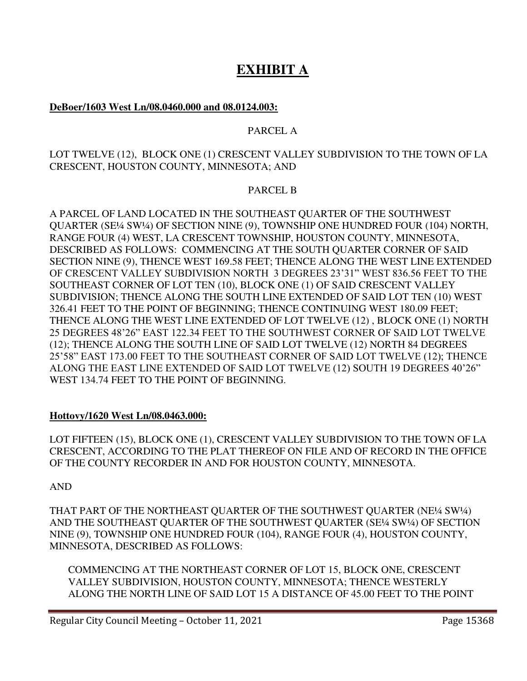# **EXHIBIT A**

# **DeBoer/1603 West Ln/08.0460.000 and 08.0124.003:**

# PARCEL A

### LOT TWELVE (12), BLOCK ONE (1) CRESCENT VALLEY SUBDIVISION TO THE TOWN OF LA CRESCENT, HOUSTON COUNTY, MINNESOTA; AND

#### PARCEL B

A PARCEL OF LAND LOCATED IN THE SOUTHEAST QUARTER OF THE SOUTHWEST QUARTER (SE¼ SW¼) OF SECTION NINE (9), TOWNSHIP ONE HUNDRED FOUR (104) NORTH, RANGE FOUR (4) WEST, LA CRESCENT TOWNSHIP, HOUSTON COUNTY, MINNESOTA, DESCRIBED AS FOLLOWS: COMMENCING AT THE SOUTH QUARTER CORNER OF SAID SECTION NINE (9), THENCE WEST 169.58 FEET; THENCE ALONG THE WEST LINE EXTENDED OF CRESCENT VALLEY SUBDIVISION NORTH 3 DEGREES 23'31" WEST 836.56 FEET TO THE SOUTHEAST CORNER OF LOT TEN (10), BLOCK ONE (1) OF SAID CRESCENT VALLEY SUBDIVISION; THENCE ALONG THE SOUTH LINE EXTENDED OF SAID LOT TEN (10) WEST 326.41 FEET TO THE POINT OF BEGINNING; THENCE CONTINUING WEST 180.09 FEET; THENCE ALONG THE WEST LINE EXTENDED OF LOT TWELVE (12) , BLOCK ONE (1) NORTH 25 DEGREES 48'26" EAST 122.34 FEET TO THE SOUTHWEST CORNER OF SAID LOT TWELVE (12); THENCE ALONG THE SOUTH LINE OF SAID LOT TWELVE (12) NORTH 84 DEGREES 25'58" EAST 173.00 FEET TO THE SOUTHEAST CORNER OF SAID LOT TWELVE (12); THENCE ALONG THE EAST LINE EXTENDED OF SAID LOT TWELVE (12) SOUTH 19 DEGREES 40'26" WEST 134.74 FEET TO THE POINT OF BEGINNING.

# **Hottovy/1620 West Ln/08.0463.000:**

LOT FIFTEEN (15), BLOCK ONE (1), CRESCENT VALLEY SUBDIVISION TO THE TOWN OF LA CRESCENT, ACCORDING TO THE PLAT THEREOF ON FILE AND OF RECORD IN THE OFFICE OF THE COUNTY RECORDER IN AND FOR HOUSTON COUNTY, MINNESOTA.

AND

THAT PART OF THE NORTHEAST QUARTER OF THE SOUTHWEST QUARTER (NE¼ SW¼) AND THE SOUTHEAST QUARTER OF THE SOUTHWEST QUARTER (SE¼ SW¼) OF SECTION NINE (9), TOWNSHIP ONE HUNDRED FOUR (104), RANGE FOUR (4), HOUSTON COUNTY, MINNESOTA, DESCRIBED AS FOLLOWS:

COMMENCING AT THE NORTHEAST CORNER OF LOT 15, BLOCK ONE, CRESCENT VALLEY SUBDIVISION, HOUSTON COUNTY, MINNESOTA; THENCE WESTERLY ALONG THE NORTH LINE OF SAID LOT 15 A DISTANCE OF 45.00 FEET TO THE POINT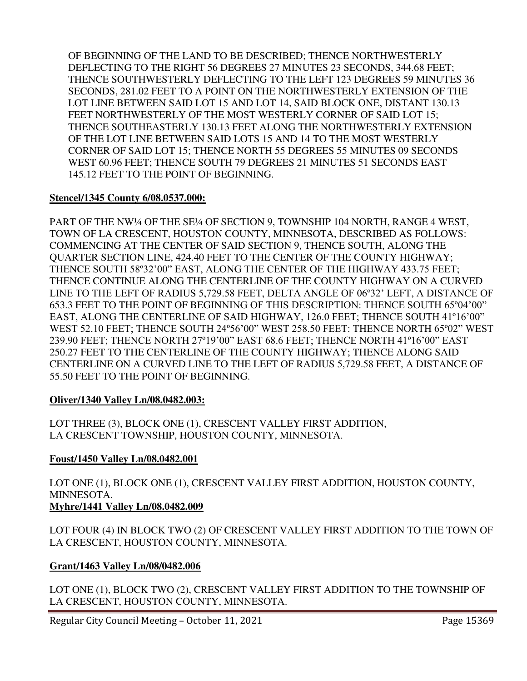OF BEGINNING OF THE LAND TO BE DESCRIBED; THENCE NORTHWESTERLY DEFLECTING TO THE RIGHT 56 DEGREES 27 MINUTES 23 SECONDS, 344.68 FEET; THENCE SOUTHWESTERLY DEFLECTING TO THE LEFT 123 DEGREES 59 MINUTES 36 SECONDS, 281.02 FEET TO A POINT ON THE NORTHWESTERLY EXTENSION OF THE LOT LINE BETWEEN SAID LOT 15 AND LOT 14, SAID BLOCK ONE, DISTANT 130.13 FEET NORTHWESTERLY OF THE MOST WESTERLY CORNER OF SAID LOT 15; THENCE SOUTHEASTERLY 130.13 FEET ALONG THE NORTHWESTERLY EXTENSION OF THE LOT LINE BETWEEN SAID LOTS 15 AND 14 TO THE MOST WESTERLY CORNER OF SAID LOT 15; THENCE NORTH 55 DEGREES 55 MINUTES 09 SECONDS WEST 60.96 FEET; THENCE SOUTH 79 DEGREES 21 MINUTES 51 SECONDS EAST 145.12 FEET TO THE POINT OF BEGINNING.

# **Stencel/1345 County 6/08.0537.000:**

PART OF THE NW¼ OF THE SE¼ OF SECTION 9, TOWNSHIP 104 NORTH, RANGE 4 WEST, TOWN OF LA CRESCENT, HOUSTON COUNTY, MINNESOTA, DESCRIBED AS FOLLOWS: COMMENCING AT THE CENTER OF SAID SECTION 9, THENCE SOUTH, ALONG THE QUARTER SECTION LINE, 424.40 FEET TO THE CENTER OF THE COUNTY HIGHWAY; THENCE SOUTH 58º32'00" EAST, ALONG THE CENTER OF THE HIGHWAY 433.75 FEET; THENCE CONTINUE ALONG THE CENTERLINE OF THE COUNTY HIGHWAY ON A CURVED LINE TO THE LEFT OF RADIUS 5,729.58 FEET, DELTA ANGLE OF 06º32' LEFT, A DISTANCE OF 653.3 FEET TO THE POINT OF BEGINNING OF THIS DESCRIPTION: THENCE SOUTH 65º04'00" EAST, ALONG THE CENTERLINE OF SAID HIGHWAY, 126.0 FEET; THENCE SOUTH 41º16'00" WEST 52.10 FEET; THENCE SOUTH 24º56'00" WEST 258.50 FEET: THENCE NORTH 65º02" WEST 239.90 FEET; THENCE NORTH 27º19'00" EAST 68.6 FEET; THENCE NORTH 41º16'00" EAST 250.27 FEET TO THE CENTERLINE OF THE COUNTY HIGHWAY; THENCE ALONG SAID CENTERLINE ON A CURVED LINE TO THE LEFT OF RADIUS 5,729.58 FEET, A DISTANCE OF 55.50 FEET TO THE POINT OF BEGINNING.

# **Oliver/1340 Valley Ln/08.0482.003:**

LOT THREE (3), BLOCK ONE (1), CRESCENT VALLEY FIRST ADDITION, LA CRESCENT TOWNSHIP, HOUSTON COUNTY, MINNESOTA.

# **Foust/1450 Valley Ln/08.0482.001**

LOT ONE (1), BLOCK ONE (1), CRESCENT VALLEY FIRST ADDITION, HOUSTON COUNTY, MINNESOTA. **Myhre/1441 Valley Ln/08.0482.009** 

LOT FOUR (4) IN BLOCK TWO (2) OF CRESCENT VALLEY FIRST ADDITION TO THE TOWN OF LA CRESCENT, HOUSTON COUNTY, MINNESOTA.

# **Grant/1463 Valley Ln/08/0482.006**

LOT ONE (1), BLOCK TWO (2), CRESCENT VALLEY FIRST ADDITION TO THE TOWNSHIP OF LA CRESCENT, HOUSTON COUNTY, MINNESOTA.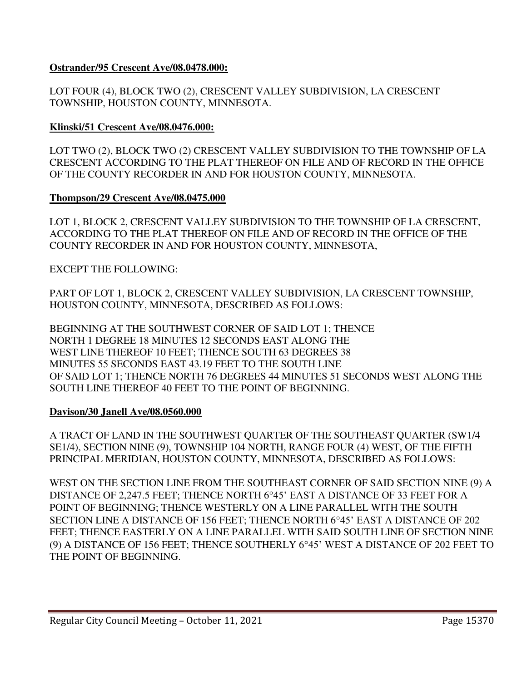# **Ostrander/95 Crescent Ave/08.0478.000:**

LOT FOUR (4), BLOCK TWO (2), CRESCENT VALLEY SUBDIVISION, LA CRESCENT TOWNSHIP, HOUSTON COUNTY, MINNESOTA.

# **Klinski/51 Crescent Ave/08.0476.000:**

LOT TWO (2), BLOCK TWO (2) CRESCENT VALLEY SUBDIVISION TO THE TOWNSHIP OF LA CRESCENT ACCORDING TO THE PLAT THEREOF ON FILE AND OF RECORD IN THE OFFICE OF THE COUNTY RECORDER IN AND FOR HOUSTON COUNTY, MINNESOTA.

# **Thompson/29 Crescent Ave/08.0475.000**

LOT 1, BLOCK 2, CRESCENT VALLEY SUBDIVISION TO THE TOWNSHIP OF LA CRESCENT, ACCORDING TO THE PLAT THEREOF ON FILE AND OF RECORD IN THE OFFICE OF THE COUNTY RECORDER IN AND FOR HOUSTON COUNTY, MINNESOTA,

EXCEPT THE FOLLOWING:

PART OF LOT 1, BLOCK 2, CRESCENT VALLEY SUBDIVISION, LA CRESCENT TOWNSHIP, HOUSTON COUNTY, MINNESOTA, DESCRIBED AS FOLLOWS:

BEGINNING AT THE SOUTHWEST CORNER OF SAID LOT 1; THENCE NORTH 1 DEGREE 18 MINUTES 12 SECONDS EAST ALONG THE WEST LINE THEREOF 10 FEET; THENCE SOUTH 63 DEGREES 38 MINUTES 55 SECONDS EAST 43.19 FEET TO THE SOUTH LINE OF SAID LOT 1; THENCE NORTH 76 DEGREES 44 MINUTES 51 SECONDS WEST ALONG THE SOUTH LINE THEREOF 40 FEET TO THE POINT OF BEGINNING.

# **Davison/30 Janell Ave/08.0560.000**

A TRACT OF LAND IN THE SOUTHWEST QUARTER OF THE SOUTHEAST QUARTER (SW1/4 SE1/4), SECTION NINE (9), TOWNSHIP 104 NORTH, RANGE FOUR (4) WEST, OF THE FIFTH PRINCIPAL MERIDIAN, HOUSTON COUNTY, MINNESOTA, DESCRIBED AS FOLLOWS:

WEST ON THE SECTION LINE FROM THE SOUTHEAST CORNER OF SAID SECTION NINE (9) A DISTANCE OF 2,247.5 FEET; THENCE NORTH 6°45' EAST A DISTANCE OF 33 FEET FOR A POINT OF BEGINNING; THENCE WESTERLY ON A LINE PARALLEL WITH THE SOUTH SECTION LINE A DISTANCE OF 156 FEET; THENCE NORTH 6°45' EAST A DISTANCE OF 202 FEET; THENCE EASTERLY ON A LINE PARALLEL WITH SAID SOUTH LINE OF SECTION NINE (9) A DISTANCE OF 156 FEET; THENCE SOUTHERLY  $6^{\circ}45'$  WEST A DISTANCE OF 202 FEET TO THE POINT OF BEGINNING.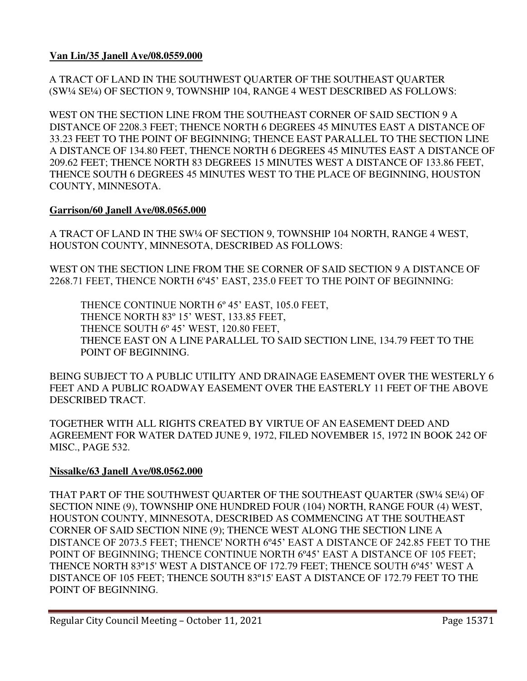**Van Lin/35 Janell Ave/08.0559.000** 

A TRACT OF LAND IN THE SOUTHWEST QUARTER OF THE SOUTHEAST QUARTER (SW¼ SE¼) OF SECTION 9, TOWNSHIP 104, RANGE 4 WEST DESCRIBED AS FOLLOWS:

WEST ON THE SECTION LINE FROM THE SOUTHEAST CORNER OF SAID SECTION 9 A DISTANCE OF 2208.3 FEET; THENCE NORTH 6 DEGREES 45 MINUTES EAST A DISTANCE OF 33.23 FEET TO THE POINT OF BEGINNING; THENCE EAST PARALLEL TO THE SECTION LINE A DISTANCE OF 134.80 FEET, THENCE NORTH 6 DEGREES 45 MINUTES EAST A DISTANCE OF 209.62 FEET; THENCE NORTH 83 DEGREES 15 MINUTES WEST A DISTANCE OF 133.86 FEET, THENCE SOUTH 6 DEGREES 45 MINUTES WEST TO THE PLACE OF BEGINNING, HOUSTON COUNTY, MINNESOTA.

# **Garrison/60 Janell Ave/08.0565.000**

A TRACT OF LAND IN THE SW¼ OF SECTION 9, TOWNSHIP 104 NORTH, RANGE 4 WEST, HOUSTON COUNTY, MINNESOTA, DESCRIBED AS FOLLOWS:

WEST ON THE SECTION LINE FROM THE SE CORNER OF SAID SECTION 9 A DISTANCE OF 2268.71 FEET, THENCE NORTH 6º45' EAST, 235.0 FEET TO THE POINT OF BEGINNING:

THENCE CONTINUE NORTH 6º 45' EAST, 105.0 FEET, THENCE NORTH 83º 15' WEST, 133.85 FEET, THENCE SOUTH 6º 45' WEST, 120.80 FEET, THENCE EAST ON A LINE PARALLEL TO SAID SECTION LINE, 134.79 FEET TO THE POINT OF BEGINNING.

BEING SUBJECT TO A PUBLIC UTILITY AND DRAINAGE EASEMENT OVER THE WESTERLY 6 FEET AND A PUBLIC ROADWAY EASEMENT OVER THE EASTERLY 11 FEET OF THE ABOVE DESCRIBED TRACT.

TOGETHER WITH ALL RIGHTS CREATED BY VIRTUE OF AN EASEMENT DEED AND AGREEMENT FOR WATER DATED JUNE 9, 1972, FILED NOVEMBER 15, 1972 IN BOOK 242 OF MISC., PAGE 532.

# **Nissalke/63 Janell Ave/08.0562.000**

THAT PART OF THE SOUTHWEST QUARTER OF THE SOUTHEAST QUARTER (SW¼ SE¼) OF SECTION NINE (9), TOWNSHIP ONE HUNDRED FOUR (104) NORTH, RANGE FOUR (4) WEST, HOUSTON COUNTY, MINNESOTA, DESCRIBED AS COMMENCING AT THE SOUTHEAST CORNER OF SAID SECTION NINE (9); THENCE WEST ALONG THE SECTION LINE A DISTANCE OF 2073.5 FEET; THENCE' NORTH 6º45' EAST A DISTANCE OF 242.85 FEET TO THE POINT OF BEGINNING; THENCE CONTINUE NORTH 6º45' EAST A DISTANCE OF 105 FEET; THENCE NORTH 83º15' WEST A DISTANCE OF 172.79 FEET; THENCE SOUTH 6º45' WEST A DISTANCE OF 105 FEET; THENCE SOUTH 83º15' EAST A DISTANCE OF 172.79 FEET TO THE POINT OF BEGINNING.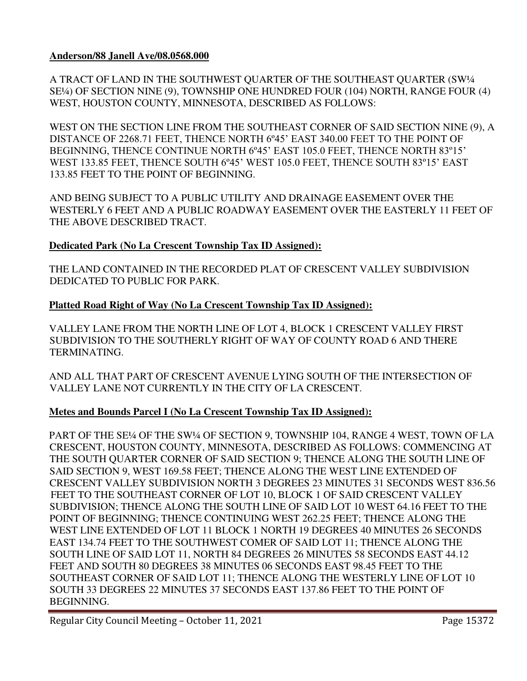# **Anderson/88 Janell Ave/08.0568.000**

A TRACT OF LAND IN THE SOUTHWEST QUARTER OF THE SOUTHEAST QUARTER (SW¼ SE¼) OF SECTION NINE (9), TOWNSHIP ONE HUNDRED FOUR (104) NORTH, RANGE FOUR (4) WEST, HOUSTON COUNTY, MINNESOTA, DESCRIBED AS FOLLOWS:

WEST ON THE SECTION LINE FROM THE SOUTHEAST CORNER OF SAID SECTION NINE (9), A DISTANCE OF 2268.71 FEET, THENCE NORTH 6º45' EAST 340.00 FEET TO THE POINT OF BEGINNING, THENCE CONTINUE NORTH 6º45' EAST 105.0 FEET, THENCE NORTH 83º15' WEST 133.85 FEET, THENCE SOUTH 6º45' WEST 105.0 FEET, THENCE SOUTH 83º15' EAST 133.85 FEET TO THE POINT OF BEGINNING.

AND BEING SUBJECT TO A PUBLIC UTILITY AND DRAINAGE EASEMENT OVER THE WESTERLY 6 FEET AND A PUBLIC ROADWAY EASEMENT OVER THE EASTERLY 11 FEET OF THE ABOVE DESCRIBED TRACT.

# **Dedicated Park (No La Crescent Township Tax ID Assigned):**

THE LAND CONTAINED IN THE RECORDED PLAT OF CRESCENT VALLEY SUBDIVISION DEDICATED TO PUBLIC FOR PARK.

# **Platted Road Right of Way (No La Crescent Township Tax ID Assigned):**

VALLEY LANE FROM THE NORTH LINE OF LOT 4, BLOCK 1 CRESCENT VALLEY FIRST SUBDIVISION TO THE SOUTHERLY RIGHT OF WAY OF COUNTY ROAD 6 AND THERE TERMINATING.

AND ALL THAT PART OF CRESCENT AVENUE LYING SOUTH OF THE INTERSECTION OF VALLEY LANE NOT CURRENTLY IN THE CITY OF LA CRESCENT.

# **Metes and Bounds Parcel I (No La Crescent Township Tax ID Assigned):**

PART OF THE SE¼ OF THE SW¼ OF SECTION 9, TOWNSHIP 104, RANGE 4 WEST, TOWN OF LA CRESCENT, HOUSTON COUNTY, MINNESOTA, DESCRIBED AS FOLLOWS: COMMENCING AT THE SOUTH QUARTER CORNER OF SAID SECTION 9; THENCE ALONG THE SOUTH LINE OF SAID SECTION 9, WEST 169.58 FEET; THENCE ALONG THE WEST LINE EXTENDED OF CRESCENT VALLEY SUBDIVISION NORTH 3 DEGREES 23 MINUTES 31 SECONDS WEST 836.56 FEET TO THE SOUTHEAST CORNER OF LOT 10, BLOCK 1 OF SAID CRESCENT VALLEY SUBDIVISION; THENCE ALONG THE SOUTH LINE OF SAID LOT 10 WEST 64.16 FEET TO THE POINT OF BEGINNING; THENCE CONTINUING WEST 262.25 FEET; THENCE ALONG THE WEST LINE EXTENDED OF LOT 11 BLOCK 1 NORTH 19 DEGREES 40 MINUTES 26 SECONDS EAST 134.74 FEET TO THE SOUTHWEST COMER OF SAID LOT 11; THENCE ALONG THE SOUTH LINE OF SAID LOT 11, NORTH 84 DEGREES 26 MINUTES 58 SECONDS EAST 44.12 FEET AND SOUTH 80 DEGREES 38 MINUTES 06 SECONDS EAST 98.45 FEET TO THE SOUTHEAST CORNER OF SAID LOT 11; THENCE ALONG THE WESTERLY LINE OF LOT 10 SOUTH 33 DEGREES 22 MINUTES 37 SECONDS EAST 137.86 FEET TO THE POINT OF BEGINNING.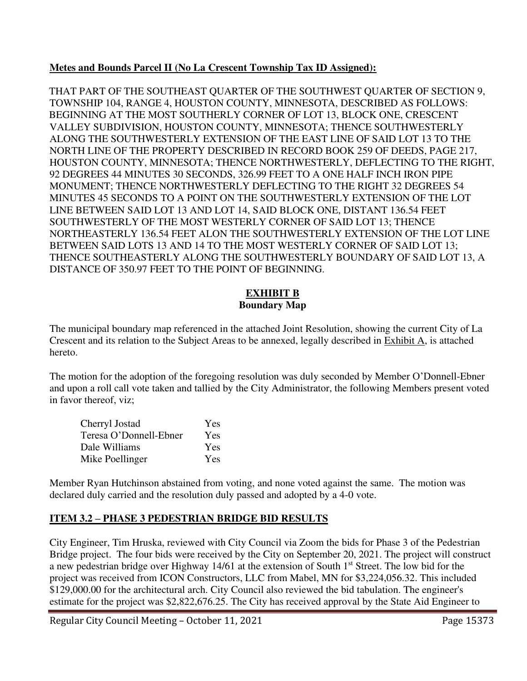# **Metes and Bounds Parcel II (No La Crescent Township Tax ID Assigned):**

THAT PART OF THE SOUTHEAST QUARTER OF THE SOUTHWEST QUARTER OF SECTION 9, TOWNSHIP 104, RANGE 4, HOUSTON COUNTY, MINNESOTA, DESCRIBED AS FOLLOWS: BEGINNING AT THE MOST SOUTHERLY CORNER OF LOT 13, BLOCK ONE, CRESCENT VALLEY SUBDIVISION, HOUSTON COUNTY, MINNESOTA; THENCE SOUTHWESTERLY ALONG THE SOUTHWESTERLY EXTENSION OF THE EAST LINE OF SAID LOT 13 TO THE NORTH LINE OF THE PROPERTY DESCRIBED IN RECORD BOOK 259 OF DEEDS, PAGE 217, HOUSTON COUNTY, MINNESOTA; THENCE NORTHWESTERLY, DEFLECTING TO THE RIGHT, 92 DEGREES 44 MINUTES 30 SECONDS, 326.99 FEET TO A ONE HALF INCH IRON PIPE MONUMENT; THENCE NORTHWESTERLY DEFLECTING TO THE RIGHT 32 DEGREES 54 MINUTES 45 SECONDS TO A POINT ON THE SOUTHWESTERLY EXTENSION OF THE LOT LINE BETWEEN SAID LOT 13 AND LOT 14, SAID BLOCK ONE, DISTANT 136.54 FEET SOUTHWESTERLY OF THE MOST WESTERLY CORNER OF SAID LOT 13; THENCE NORTHEASTERLY 136.54 FEET ALON THE SOUTHWESTERLY EXTENSION OF THE LOT LINE BETWEEN SAID LOTS 13 AND 14 TO THE MOST WESTERLY CORNER OF SAID LOT 13; THENCE SOUTHEASTERLY ALONG THE SOUTHWESTERLY BOUNDARY OF SAID LOT 13, A DISTANCE OF 350.97 FEET TO THE POINT OF BEGINNING.

# **EXHIBIT B Boundary Map**

The municipal boundary map referenced in the attached Joint Resolution, showing the current City of La Crescent and its relation to the Subject Areas to be annexed, legally described in Exhibit A, is attached hereto.

The motion for the adoption of the foregoing resolution was duly seconded by Member O'Donnell-Ebner and upon a roll call vote taken and tallied by the City Administrator, the following Members present voted in favor thereof, viz;

| Cherryl Jostad         | Yes |
|------------------------|-----|
| Teresa O'Donnell-Ebner | Yes |
| Dale Williams          | Yes |
| Mike Poellinger        | Yes |

Member Ryan Hutchinson abstained from voting, and none voted against the same. The motion was declared duly carried and the resolution duly passed and adopted by a 4-0 vote.

# **ITEM 3.2 – PHASE 3 PEDESTRIAN BRIDGE BID RESULTS**

City Engineer, Tim Hruska, reviewed with City Council via Zoom the bids for Phase 3 of the Pedestrian Bridge project. The four bids were received by the City on September 20, 2021. The project will construct a new pedestrian bridge over Highway 14/61 at the extension of South 1<sup>st</sup> Street. The low bid for the project was received from ICON Constructors, LLC from Mabel, MN for \$3,224,056.32. This included \$129,000.00 for the architectural arch. City Council also reviewed the bid tabulation. The engineer's estimate for the project was \$2,822,676.25. The City has received approval by the State Aid Engineer to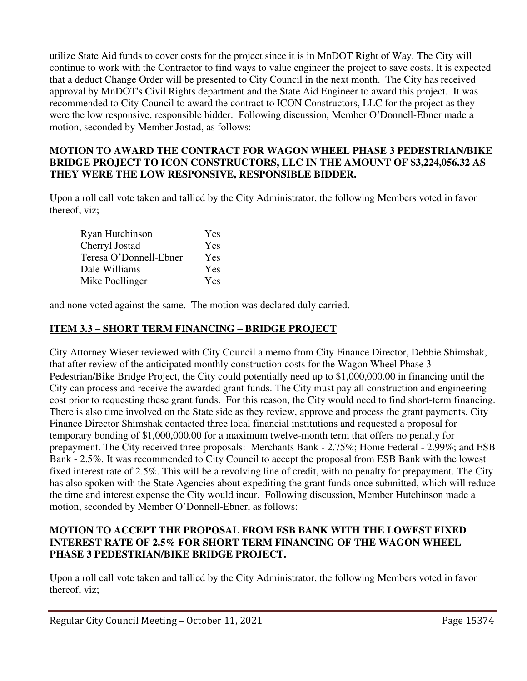utilize State Aid funds to cover costs for the project since it is in MnDOT Right of Way. The City will continue to work with the Contractor to find ways to value engineer the project to save costs. It is expected that a deduct Change Order will be presented to City Council in the next month. The City has received approval by MnDOT's Civil Rights department and the State Aid Engineer to award this project. It was recommended to City Council to award the contract to ICON Constructors, LLC for the project as they were the low responsive, responsible bidder. Following discussion, Member O'Donnell-Ebner made a motion, seconded by Member Jostad, as follows:

# **MOTION TO AWARD THE CONTRACT FOR WAGON WHEEL PHASE 3 PEDESTRIAN/BIKE BRIDGE PROJECT TO ICON CONSTRUCTORS, LLC IN THE AMOUNT OF \$3,224,056.32 AS THEY WERE THE LOW RESPONSIVE, RESPONSIBLE BIDDER.**

Upon a roll call vote taken and tallied by the City Administrator, the following Members voted in favor thereof, viz;

| Ryan Hutchinson        | Yes |
|------------------------|-----|
| Cherryl Jostad         | Yes |
| Teresa O'Donnell-Ebner | Yes |
| Dale Williams          | Yes |
| Mike Poellinger        | Yes |

and none voted against the same. The motion was declared duly carried.

# **ITEM 3.3 – SHORT TERM FINANCING – BRIDGE PROJECT**

City Attorney Wieser reviewed with City Council a memo from City Finance Director, Debbie Shimshak, that after review of the anticipated monthly construction costs for the Wagon Wheel Phase 3 Pedestrian/Bike Bridge Project, the City could potentially need up to \$1,000,000.00 in financing until the City can process and receive the awarded grant funds. The City must pay all construction and engineering cost prior to requesting these grant funds. For this reason, the City would need to find short-term financing. There is also time involved on the State side as they review, approve and process the grant payments. City Finance Director Shimshak contacted three local financial institutions and requested a proposal for temporary bonding of \$1,000,000.00 for a maximum twelve-month term that offers no penalty for prepayment. The City received three proposals: Merchants Bank - 2.75%; Home Federal - 2.99%; and ESB Bank - 2.5%. It was recommended to City Council to accept the proposal from ESB Bank with the lowest fixed interest rate of 2.5%. This will be a revolving line of credit, with no penalty for prepayment. The City has also spoken with the State Agencies about expediting the grant funds once submitted, which will reduce the time and interest expense the City would incur. Following discussion, Member Hutchinson made a motion, seconded by Member O'Donnell-Ebner, as follows:

# **MOTION TO ACCEPT THE PROPOSAL FROM ESB BANK WITH THE LOWEST FIXED INTEREST RATE OF 2.5% FOR SHORT TERM FINANCING OF THE WAGON WHEEL PHASE 3 PEDESTRIAN/BIKE BRIDGE PROJECT.**

Upon a roll call vote taken and tallied by the City Administrator, the following Members voted in favor thereof, viz;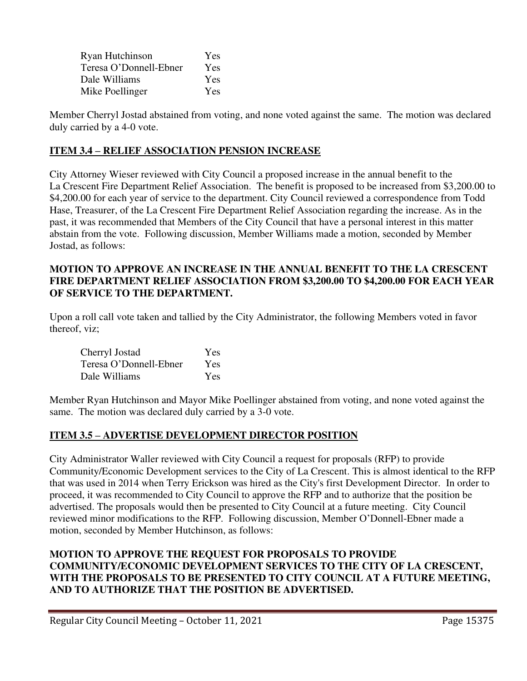| Ryan Hutchinson        | Yes |
|------------------------|-----|
| Teresa O'Donnell-Ebner | Yes |
| Dale Williams          | Yes |
| Mike Poellinger        | Yes |

Member Cherryl Jostad abstained from voting, and none voted against the same. The motion was declared duly carried by a 4-0 vote.

# **ITEM 3.4 – RELIEF ASSOCIATION PENSION INCREASE**

City Attorney Wieser reviewed with City Council a proposed increase in the annual benefit to the La Crescent Fire Department Relief Association. The benefit is proposed to be increased from \$3,200.00 to \$4,200.00 for each year of service to the department. City Council reviewed a correspondence from Todd Hase, Treasurer, of the La Crescent Fire Department Relief Association regarding the increase. As in the past, it was recommended that Members of the City Council that have a personal interest in this matter abstain from the vote. Following discussion, Member Williams made a motion, seconded by Member Jostad, as follows:

# **MOTION TO APPROVE AN INCREASE IN THE ANNUAL BENEFIT TO THE LA CRESCENT FIRE DEPARTMENT RELIEF ASSOCIATION FROM \$3,200.00 TO \$4,200.00 FOR EACH YEAR OF SERVICE TO THE DEPARTMENT.**

Upon a roll call vote taken and tallied by the City Administrator, the following Members voted in favor thereof, viz;

| Cherryl Jostad         | Yes |
|------------------------|-----|
| Teresa O'Donnell-Ebner | Yes |
| Dale Williams          | Yes |

Member Ryan Hutchinson and Mayor Mike Poellinger abstained from voting, and none voted against the same. The motion was declared duly carried by a 3-0 vote.

# **ITEM 3.5 – ADVERTISE DEVELOPMENT DIRECTOR POSITION**

City Administrator Waller reviewed with City Council a request for proposals (RFP) to provide Community/Economic Development services to the City of La Crescent. This is almost identical to the RFP that was used in 2014 when Terry Erickson was hired as the City's first Development Director. In order to proceed, it was recommended to City Council to approve the RFP and to authorize that the position be advertised. The proposals would then be presented to City Council at a future meeting. City Council reviewed minor modifications to the RFP. Following discussion, Member O'Donnell-Ebner made a motion, seconded by Member Hutchinson, as follows:

# **MOTION TO APPROVE THE REQUEST FOR PROPOSALS TO PROVIDE COMMUNITY/ECONOMIC DEVELOPMENT SERVICES TO THE CITY OF LA CRESCENT, WITH THE PROPOSALS TO BE PRESENTED TO CITY COUNCIL AT A FUTURE MEETING, AND TO AUTHORIZE THAT THE POSITION BE ADVERTISED.**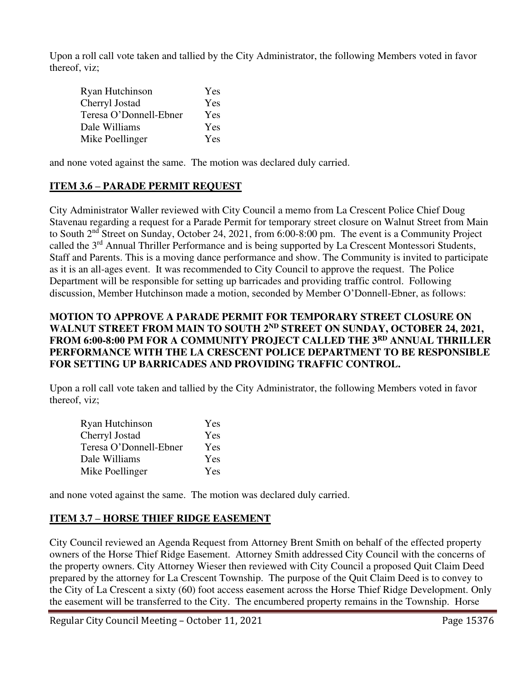Upon a roll call vote taken and tallied by the City Administrator, the following Members voted in favor thereof, viz;

| Ryan Hutchinson        | Yes |
|------------------------|-----|
| Cherryl Jostad         | Yes |
| Teresa O'Donnell-Ebner | Yes |
| Dale Williams          | Yes |
| Mike Poellinger        | Yes |

and none voted against the same. The motion was declared duly carried.

# **ITEM 3.6 – PARADE PERMIT REQUEST**

City Administrator Waller reviewed with City Council a memo from La Crescent Police Chief Doug Stavenau regarding a request for a Parade Permit for temporary street closure on Walnut Street from Main to South 2nd Street on Sunday, October 24, 2021, from 6:00-8:00 pm. The event is a Community Project called the 3rd Annual Thriller Performance and is being supported by La Crescent Montessori Students, Staff and Parents. This is a moving dance performance and show. The Community is invited to participate as it is an all-ages event. It was recommended to City Council to approve the request. The Police Department will be responsible for setting up barricades and providing traffic control. Following discussion, Member Hutchinson made a motion, seconded by Member O'Donnell-Ebner, as follows:

#### **MOTION TO APPROVE A PARADE PERMIT FOR TEMPORARY STREET CLOSURE ON**  WALNUT STREET FROM MAIN TO SOUTH 2<sup>ND</sup> STREET ON SUNDAY, OCTOBER 24, 2021, **FROM 6:00-8:00 PM FOR A COMMUNITY PROJECT CALLED THE 3RD ANNUAL THRILLER PERFORMANCE WITH THE LA CRESCENT POLICE DEPARTMENT TO BE RESPONSIBLE FOR SETTING UP BARRICADES AND PROVIDING TRAFFIC CONTROL.**

Upon a roll call vote taken and tallied by the City Administrator, the following Members voted in favor thereof, viz;

| Ryan Hutchinson        | Yes |
|------------------------|-----|
| Cherryl Jostad         | Yes |
| Teresa O'Donnell-Ebner | Yes |
| Dale Williams          | Yes |
| Mike Poellinger        | Yes |

and none voted against the same. The motion was declared duly carried.

# **ITEM 3.7 – HORSE THIEF RIDGE EASEMENT**

City Council reviewed an Agenda Request from Attorney Brent Smith on behalf of the effected property owners of the Horse Thief Ridge Easement. Attorney Smith addressed City Council with the concerns of the property owners. City Attorney Wieser then reviewed with City Council a proposed Quit Claim Deed prepared by the attorney for La Crescent Township. The purpose of the Quit Claim Deed is to convey to the City of La Crescent a sixty (60) foot access easement across the Horse Thief Ridge Development. Only the easement will be transferred to the City. The encumbered property remains in the Township. Horse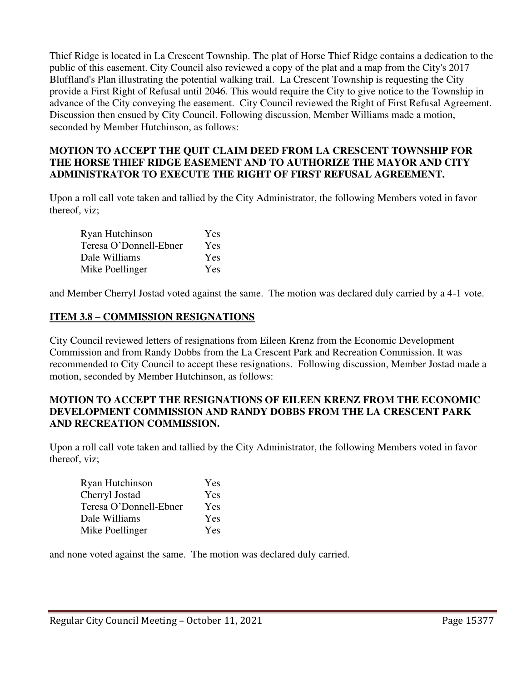Thief Ridge is located in La Crescent Township. The plat of Horse Thief Ridge contains a dedication to the public of this easement. City Council also reviewed a copy of the plat and a map from the City's 2017 Bluffland's Plan illustrating the potential walking trail. La Crescent Township is requesting the City provide a First Right of Refusal until 2046. This would require the City to give notice to the Township in advance of the City conveying the easement. City Council reviewed the Right of First Refusal Agreement. Discussion then ensued by City Council. Following discussion, Member Williams made a motion, seconded by Member Hutchinson, as follows:

# **MOTION TO ACCEPT THE QUIT CLAIM DEED FROM LA CRESCENT TOWNSHIP FOR THE HORSE THIEF RIDGE EASEMENT AND TO AUTHORIZE THE MAYOR AND CITY ADMINISTRATOR TO EXECUTE THE RIGHT OF FIRST REFUSAL AGREEMENT.**

Upon a roll call vote taken and tallied by the City Administrator, the following Members voted in favor thereof, viz;

| Ryan Hutchinson        | Yes        |
|------------------------|------------|
| Teresa O'Donnell-Ebner | Yes        |
| Dale Williams          | Yes        |
| Mike Poellinger        | <b>Yes</b> |

and Member Cherryl Jostad voted against the same. The motion was declared duly carried by a 4-1 vote.

# **ITEM 3.8 – COMMISSION RESIGNATIONS**

City Council reviewed letters of resignations from Eileen Krenz from the Economic Development Commission and from Randy Dobbs from the La Crescent Park and Recreation Commission. It was recommended to City Council to accept these resignations. Following discussion, Member Jostad made a motion, seconded by Member Hutchinson, as follows:

#### **MOTION TO ACCEPT THE RESIGNATIONS OF EILEEN KRENZ FROM THE ECONOMIC DEVELOPMENT COMMISSION AND RANDY DOBBS FROM THE LA CRESCENT PARK AND RECREATION COMMISSION.**

Upon a roll call vote taken and tallied by the City Administrator, the following Members voted in favor thereof, viz;

| Ryan Hutchinson        | Yes |
|------------------------|-----|
| Cherryl Jostad         | Yes |
| Teresa O'Donnell-Ebner | Yes |
| Dale Williams          | Yes |
| Mike Poellinger        | Yes |

and none voted against the same. The motion was declared duly carried.